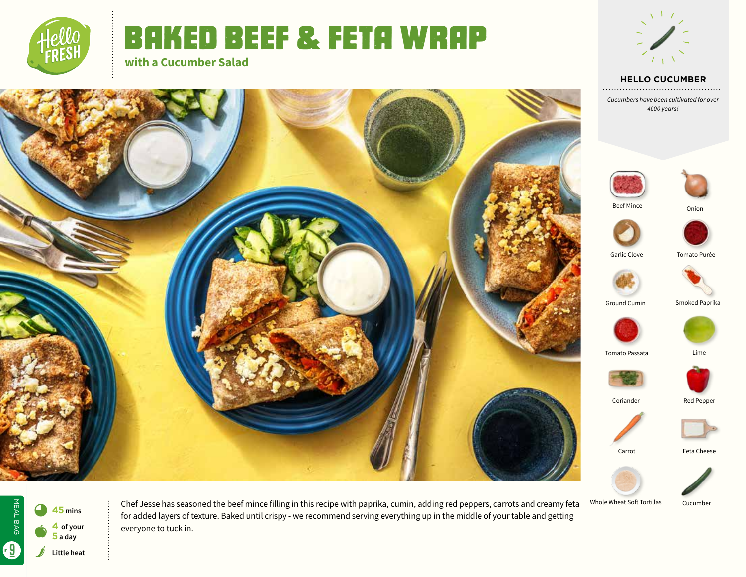

# Baked Beef & Feta Wrap

**with a Cucumber Salad**



**HELLO CUCUMBER** 

*Cucumbers have been cultivated for over 4000 years!*









MEAL BAG MEAL BAG 9 **<sup>45</sup> mins 4 of your**   $\bullet$ **5 a day** 6 s **Little heat**

Chef Jesse has seasoned the beef mince filling in this recipe with paprika, cumin, adding red peppers, carrots and creamy feta for added layers of texture. Baked until crispy - we recommend serving everything up in the middle of your table and getting everyone to tuck in.

Whole Wheat Soft Tortillas



Onion

Garlic Clove

Beef Mince

Coriander



Carrot Feta Cheese